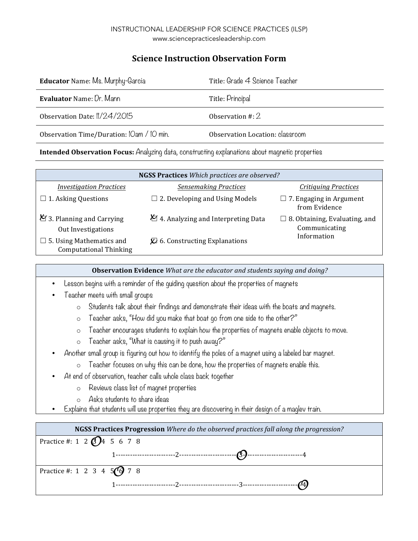## **Science Instruction Observation Form**

| <b>Educator</b> Name: Ms. Murphy-Garcia   | Title: Grade 4 Science Teacher  |
|-------------------------------------------|---------------------------------|
| <b>Evaluator Name: Dr. Mann</b>           | Title: Principal                |
| Observation Date: 1/24/2015               | Observation $\#$ : 2            |
| Observation Time/Duration: IOam / IO min. | Observation Location: classroom |
|                                           |                                 |

**Intended Observation Focus:** Analyzing data, constructing explanations about magnetic properties

| <b>NGSS Practices</b> Which practices are observed?              |                                                       |                                                       |
|------------------------------------------------------------------|-------------------------------------------------------|-------------------------------------------------------|
| <b>Investigation Practices</b>                                   | <b>Sensemaking Practices</b>                          | <b>Critiquing Practices</b>                           |
| $\Box$ 1. Asking Questions                                       | $\Box$ 2. Developing and Using Models                 | $\Box$ 7. Engaging in Argument<br>from Evidence       |
| $\bigotimes$ 3. Planning and Carrying<br>Out Investigations      | 4. Analyzing and Interpreting Data                    | $\Box$ 8. Obtaining, Evaluating, and<br>Communicating |
| $\Box$ 5. Using Mathematics and<br><b>Computational Thinking</b> | $\overline{\mathcal{Q}}$ 6. Constructing Explanations | Information                                           |

**Observation Evidence** *What are the educator and students saying and doing?* 

- Lesson begins with a reminder of the guiding question about the properties of magnets
- Teacher meets with small groups
	- o Students talk about their findings and demonstrate their ideas with the boats and magnets.
	- o Teacher asks, "How did you make that boat go from one side to the other?"
	- o Teacher encourages students to explain how the properties of magnets enable objects to move.
	- o Teacher asks, "What is causing it to push away?"
- Another small group is figuring out how to identify the poles of a magnet using a labeled bar magnet.
	- o Teacher focuses on why this can be done, how the properties of magnets enable this.
- At end of observation, teacher calls whole class back together
	- o Reviews class list of magnet properties
	- o Asks students to share ideas
- Explains that students will use properties they are discovering in their design of a maglev train.